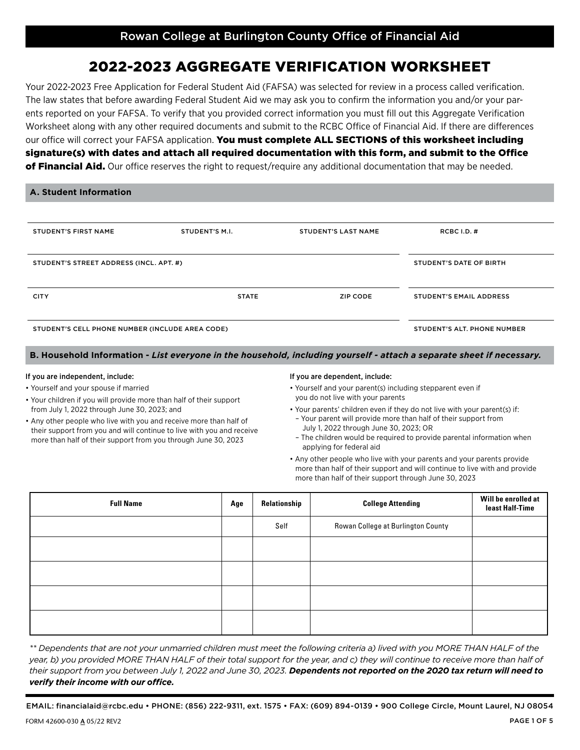# 2022-2023 AGGREGATE VERIFICATION WORKSHEET

Your 2022-2023 Free Application for Federal Student Aid (FAFSA) was selected for review in a process called verification. The law states that before awarding Federal Student Aid we may ask you to confirm the information you and/or your parents reported on your FAFSA. To verify that you provided correct information you must fill out this Aggregate Verification Worksheet along with any other required documents and submit to the RCBC Office of Financial Aid. If there are differences our office will correct your FAFSA application. You must complete ALL SECTIONS of this worksheet including signature(s) with dates and attach all required documentation with this form, and submit to the Office of Financial Aid. Our office reserves the right to request/require any additional documentation that may be needed.

|  | A. Student Information |
|--|------------------------|
|  |                        |

| <b>STUDENT'S FIRST NAME</b>                     | STUDENT'S M.I. | <b>STUDENT'S LAST NAME</b> | RCBC I.D. $#$                      |
|-------------------------------------------------|----------------|----------------------------|------------------------------------|
| STUDENT'S STREET ADDRESS (INCL. APT. #)         |                |                            | STUDENT'S DATE OF BIRTH            |
| <b>CITY</b>                                     | <b>STATE</b>   | ZIP CODE                   | <b>STUDENT'S EMAIL ADDRESS</b>     |
| STUDENT'S CELL PHONE NUMBER (INCLUDE AREA CODE) |                |                            | <b>STUDENT'S ALT, PHONE NUMBER</b> |

**B. Household Information -** *List everyone in the household, including yourself - attach a separate sheet if necessary.* 

#### If you are independent, include:

• Yourself and your spouse if married

- Your children if you will provide more than half of their support from July 1, 2022 through June 30, 2023; and
- Any other people who live with you and receive more than half of their support from you and will continue to live with you and receive more than half of their support from you through June 30, 2023

#### If you are dependent, include:

- Yourself and your parent(s) including stepparent even if you do not live with your parents
- Your parents' children even if they do not live with your parent(s) if: – Your parent will provide more than half of their support from
- July 1, 2022 through June 30, 2023; OR – The children would be required to provide parental information when applying for federal aid
- Any other people who live with your parents and your parents provide more than half of their support and will continue to live with and provide more than half of their support through June 30, 2023

| <b>Full Name</b> | Age | Relationship | <b>College Attending</b>           | Will be enrolled at<br>least Half-Time |
|------------------|-----|--------------|------------------------------------|----------------------------------------|
|                  |     | Self         | Rowan College at Burlington County |                                        |
|                  |     |              |                                    |                                        |
|                  |     |              |                                    |                                        |
|                  |     |              |                                    |                                        |
|                  |     |              |                                    |                                        |

*\*\* Dependents that are not your unmarried children must meet the following criteria a) lived with you MORE THAN HALF of the year, b) you provided MORE THAN HALF of their total support for the year, and c) they will continue to receive more than half of their support from you between July 1, 2022 and June 30, 2023. Dependents not reported on the 2020 tax return will need to verify their income with our office.*

PAGE 1 OF 5 EMAIL: financialaid@rcbc.edu • PHONE: (856) 222-9311, ext. 1575 • FAX: (609) 894-0139 • 900 College Circle, Mount Laurel, NJ 08054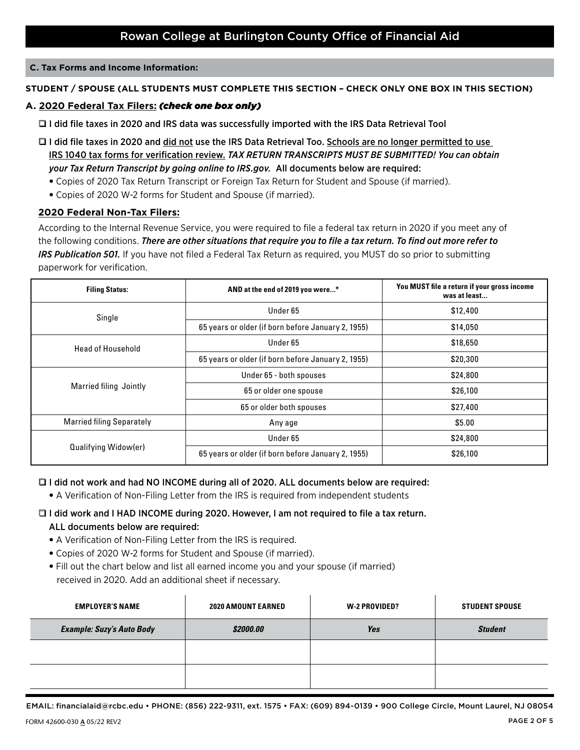#### **C. Tax Forms and Income Information:**

### **STUDENT / SPOUSE (ALL STUDENTS MUST COMPLETE THIS SECTION – CHECK ONLY ONE BOX IN THIS SECTION)**

#### **A. 2020 Federal Tax Filers:** *(check one box only)*

- □ I did file taxes in 2020 and IRS data was successfully imported with the IRS Data Retrieval Tool
- I did file taxes in 2020 and did not use the IRS Data Retrieval Too. Schools are no longer permitted to use IRS 1040 tax forms for verification review. *TAX RETURN TRANSCRIPTS MUST BE SUBMITTED! You can obtain your Tax Return Transcript by going online to IRS.gov.* All documents below are required:
	- Copies of 2020 Tax Return Transcript or Foreign Tax Return for Student and Spouse (if married).
	- Copies of 2020 W-2 forms for Student and Spouse (if married).

#### **2020 Federal Non-Tax Filers:**

According to the Internal Revenue Service, you were required to file a federal tax return in 2020 if you meet any of the following conditions. *There are other situations that require you to file a tax return. To find out more refer to IRS Publication 501.* If you have not filed a Federal Tax Return as required, you MUST do so prior to submitting paperwork for verification.

| <b>Filing Status:</b>            | AND at the end of 2019 you were*                   | You MUST file a return if your gross income<br>was at least |
|----------------------------------|----------------------------------------------------|-------------------------------------------------------------|
| Single                           | Under 65                                           | \$12,400                                                    |
|                                  | 65 years or older (if born before January 2, 1955) | \$14,050                                                    |
| <b>Head of Household</b>         | Under 65                                           | \$18,650                                                    |
|                                  | 65 years or older (if born before January 2, 1955) | \$20,300                                                    |
|                                  | Under 65 - both spouses                            | \$24,800                                                    |
| Married filing Jointly           | 65 or older one spouse                             | \$26,100                                                    |
|                                  | 65 or older both spouses                           | \$27,400                                                    |
| <b>Married filing Separately</b> | Any age                                            | \$5.00                                                      |
|                                  | Under 65                                           | \$24,800                                                    |
| Qualifying Widow(er)             | 65 years or older (if born before January 2, 1955) | \$26,100                                                    |

#### □ I did not work and had NO INCOME during all of 2020. ALL documents below are required:

• A Verification of Non-Filing Letter from the IRS is required from independent students

### □ I did work and I HAD INCOME during 2020. However, I am not required to file a tax return. ALL documents below are required:

- A Verification of Non-Filing Letter from the IRS is required.
- Copies of 2020 W-2 forms for Student and Spouse (if married).
- Fill out the chart below and list all earned income you and your spouse (if married) received in 2020. Add an additional sheet if necessary.

| <b>EMPLOYER'S NAME</b>           | <b>2020 AMOUNT EARNED</b> | W-2 PROVIDED? | <b>STUDENT SPOUSE</b> |
|----------------------------------|---------------------------|---------------|-----------------------|
| <b>Example: Suzy's Auto Body</b> | \$2000.00                 | Yes           | <b>Student</b>        |
|                                  |                           |               |                       |
|                                  |                           |               |                       |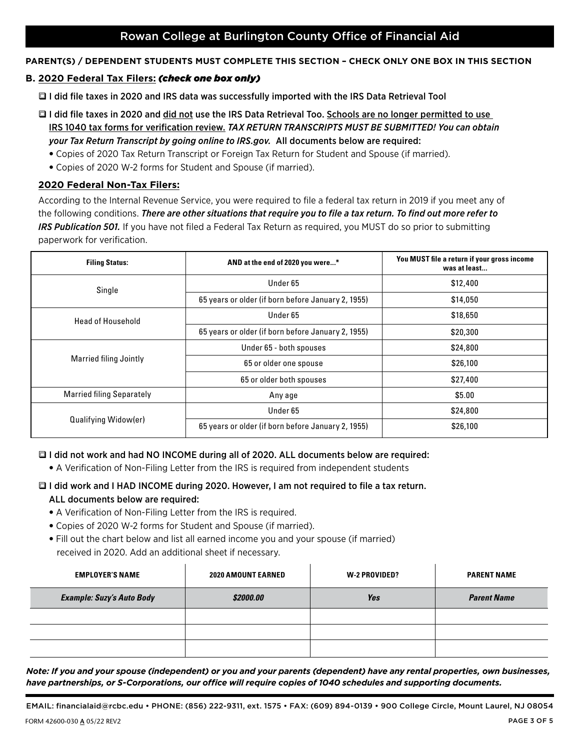### Rowan College at Burlington County Office of Financial Aid

#### **PARENT(S) / DEPENDENT STUDENTS MUST COMPLETE THIS SECTION – CHECK ONLY ONE BOX IN THIS SECTION**

#### **B. 2020 Federal Tax Filers:** *(check one box only)*

■ I did file taxes in 2020 and IRS data was successfully imported with the IRS Data Retrieval Tool

- **I** I did file taxes in 2020 and did not use the IRS Data Retrieval Too. Schools are no longer permitted to use IRS 1040 tax forms for verification review. *TAX RETURN TRANSCRIPTS MUST BE SUBMITTED! You can obtain your Tax Return Transcript by going online to IRS.gov.* All documents below are required:
	- Copies of 2020 Tax Return Transcript or Foreign Tax Return for Student and Spouse (if married).
	- Copies of 2020 W-2 forms for Student and Spouse (if married).

### **2020 Federal Non-Tax Filers:**

According to the Internal Revenue Service, you were required to file a federal tax return in 2019 if you meet any of the following conditions. *There are other situations that require you to file a tax return. To find out more refer to IRS Publication 501.* If you have not filed a Federal Tax Return as required, you MUST do so prior to submitting paperwork for verification.

| <b>Filing Status:</b>            | AND at the end of 2020 you were*                   | You MUST file a return if your gross income<br>was at least |
|----------------------------------|----------------------------------------------------|-------------------------------------------------------------|
| Single                           | Under 65                                           | \$12,400                                                    |
|                                  | 65 years or older (if born before January 2, 1955) | \$14,050                                                    |
| <b>Head of Household</b>         | Under 65                                           | \$18,650                                                    |
|                                  | 65 years or older (if born before January 2, 1955) | \$20,300                                                    |
|                                  | Under 65 - both spouses                            | \$24,800                                                    |
| <b>Married filing Jointly</b>    | 65 or older one spouse                             | \$26,100                                                    |
|                                  | 65 or older both spouses                           | \$27,400                                                    |
| <b>Married filing Separately</b> | Any age                                            | \$5.00                                                      |
|                                  | Under 65                                           | \$24,800                                                    |
| Qualifying Widow(er)             | 65 years or older (if born before January 2, 1955) | \$26,100                                                    |

#### q I did not work and had NO INCOME during all of 2020. ALL documents below are required:

• A Verification of Non-Filing Letter from the IRS is required from independent students

# **D** I did work and I HAD INCOME during 2020. However, I am not required to file a tax return.

## ALL documents below are required:

- A Verification of Non-Filing Letter from the IRS is required.
- Copies of 2020 W-2 forms for Student and Spouse (if married).
- Fill out the chart below and list all earned income you and your spouse (if married) received in 2020. Add an additional sheet if necessary.

| <b>EMPLOYER'S NAME</b>           | 2020 AMOUNT EARNED | W-2 PROVIDED? | <b>PARENT NAME</b> |
|----------------------------------|--------------------|---------------|--------------------|
| <b>Example: Suzy's Auto Body</b> | \$2000.00          | Yes           | <b>Parent Name</b> |
|                                  |                    |               |                    |
|                                  |                    |               |                    |
|                                  |                    |               |                    |

*Note: If you and your spouse (independent) or you and your parents (dependent) have any rental properties, own businesses, have partnerships, or S-Corporations, our office will require copies of 1040 schedules and supporting documents.* 

EMAIL: financialaid@rcbc.edu • PHONE: (856) 222-9311, ext. 1575 • FAX: (609) 894-0139 • 900 College Circle, Mount Laurel, NJ 08054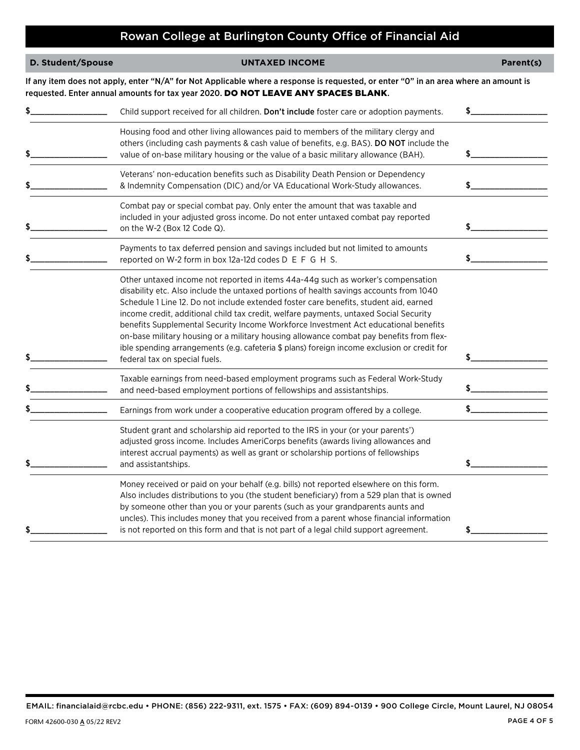# Rowan College at Burlington County Office of Financial Aid

| D. Student/Spouse | <b>UNTAXED INCOME</b>                                                                                                                                                                                                                                                                                                                                                                                                                                                                                                                                                                                                                                                          | Parent(s) |
|-------------------|--------------------------------------------------------------------------------------------------------------------------------------------------------------------------------------------------------------------------------------------------------------------------------------------------------------------------------------------------------------------------------------------------------------------------------------------------------------------------------------------------------------------------------------------------------------------------------------------------------------------------------------------------------------------------------|-----------|
|                   | If any item does not apply, enter "N/A" for Not Applicable where a response is requested, or enter "O" in an area where an amount is<br>requested. Enter annual amounts for tax year 2020. DO NOT LEAVE ANY SPACES BLANK.                                                                                                                                                                                                                                                                                                                                                                                                                                                      |           |
|                   | Child support received for all children. Don't include foster care or adoption payments.                                                                                                                                                                                                                                                                                                                                                                                                                                                                                                                                                                                       |           |
|                   | Housing food and other living allowances paid to members of the military clergy and<br>others (including cash payments & cash value of benefits, e.g. BAS). <b>DO NOT</b> include the<br>value of on-base military housing or the value of a basic military allowance (BAH).                                                                                                                                                                                                                                                                                                                                                                                                   |           |
|                   | Veterans' non-education benefits such as Disability Death Pension or Dependency<br>& Indemnity Compensation (DIC) and/or VA Educational Work-Study allowances.                                                                                                                                                                                                                                                                                                                                                                                                                                                                                                                 | \$        |
|                   | Combat pay or special combat pay. Only enter the amount that was taxable and<br>included in your adjusted gross income. Do not enter untaxed combat pay reported<br>on the W-2 (Box 12 Code Q).                                                                                                                                                                                                                                                                                                                                                                                                                                                                                | \$_       |
|                   | Payments to tax deferred pension and savings included but not limited to amounts<br>reported on W-2 form in box 12a-12d codes D E F G H S.                                                                                                                                                                                                                                                                                                                                                                                                                                                                                                                                     |           |
|                   | Other untaxed income not reported in items 44a-44g such as worker's compensation<br>disability etc. Also include the untaxed portions of health savings accounts from 1040<br>Schedule 1 Line 12. Do not include extended foster care benefits, student aid, earned<br>income credit, additional child tax credit, welfare payments, untaxed Social Security<br>benefits Supplemental Security Income Workforce Investment Act educational benefits<br>on-base military housing or a military housing allowance combat pay benefits from flex-<br>ible spending arrangements (e.g. cafeteria \$ plans) foreign income exclusion or credit for<br>federal tax on special fuels. | \$        |
|                   | Taxable earnings from need-based employment programs such as Federal Work-Study<br>and need-based employment portions of fellowships and assistantships.                                                                                                                                                                                                                                                                                                                                                                                                                                                                                                                       |           |
|                   | Earnings from work under a cooperative education program offered by a college.                                                                                                                                                                                                                                                                                                                                                                                                                                                                                                                                                                                                 | \$        |
|                   | Student grant and scholarship aid reported to the IRS in your (or your parents')<br>adjusted gross income. Includes AmeriCorps benefits (awards living allowances and<br>interest accrual payments) as well as grant or scholarship portions of fellowships<br>and assistantships.                                                                                                                                                                                                                                                                                                                                                                                             | \$        |
|                   | Money received or paid on your behalf (e.g. bills) not reported elsewhere on this form.<br>Also includes distributions to you (the student beneficiary) from a 529 plan that is owned<br>by someone other than you or your parents (such as your grandparents aunts and<br>uncles). This includes money that you received from a parent whose financial information<br>is not reported on this form and that is not part of a legal child support agreement.                                                                                                                                                                                                                   | \$        |

EMAIL: financialaid@rcbc.edu • PHONE: (856) 222-9311, ext. 1575 • FAX: (609) 894-0139 • 900 College Circle, Mount Laurel, NJ 08054